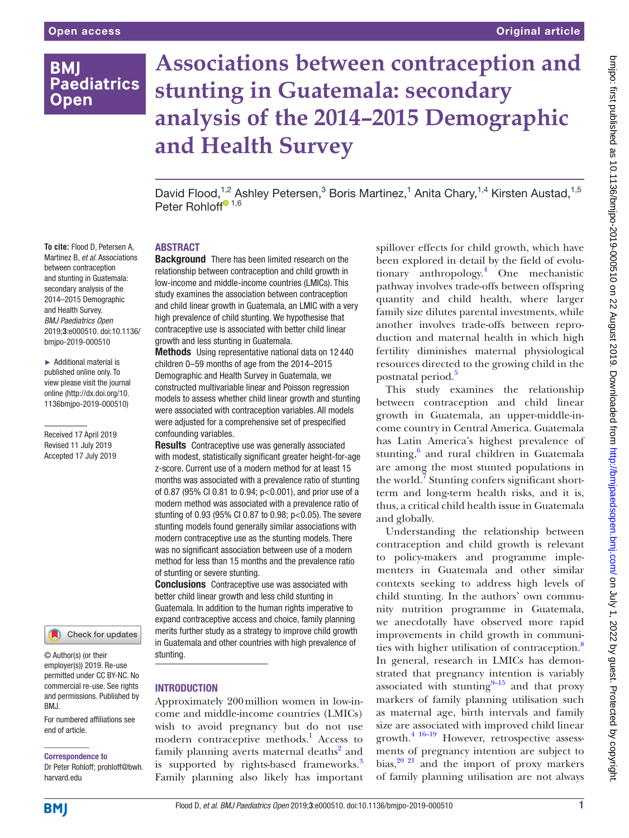## **BMI Paediatrics Open**

# **Associations between contraception and stunting in Guatemala: secondary analysis of the 2014–2015 Demographic and Health Survey**

David Flood,<sup>1,2</sup> Ashley Petersen,<sup>3</sup> Boris Martinez,<sup>1</sup> Anita Chary,<sup>1,4</sup> Kirsten Austad,<sup>1,5</sup> Peter Rohlo[f](http://orcid.org/0000-0001-7274-8315)f $\bullet$  1,6

#### **To cite:** Flood D, Petersen A, Martinez B, *et al*. Associations between contraception and stunting in Guatemala: secondary analysis of the 2014–2015 Demographic and Health Survey. *BMJ Paediatrics Open* 2019;3:e000510. doi:10.1136/ bmjpo-2019-000510

► Additional material is published online only. To view please visit the journal online ([http://dx.doi.org/10.](http://dx.doi.org/10.1136bmjpo-2019-000510) [1136bmjpo-2019-000510\)](http://dx.doi.org/10.1136bmjpo-2019-000510)

Received 17 April 2019 Revised 11 July 2019 Accepted 17 July 2019

Check for updates

© Author(s) (or their employer(s)) 2019. Re-use permitted under CC BY-NC. No commercial re-use. See rights and permissions. Published by BMJ.

For numbered affiliations see end of article.

Correspondence to

Dr Peter Rohloff; prohloff@bwh. harvard.edu

#### **ABSTRACT**

**Background** There has been limited research on the relationship between contraception and child growth in low-income and middle-income countries (LMICs). This study examines the association between contraception and child linear growth in Guatemala, an LMIC with a very high prevalence of child stunting. We hypothesise that contraceptive use is associated with better child linear growth and less stunting in Guatemala.

Methods Using representative national data on 12 440 children 0–59 months of age from the 2014–2015 Demographic and Health Survey in Guatemala, we constructed multivariable linear and Poisson regression models to assess whether child linear growth and stunting were associated with contraception variables. All models were adjusted for a comprehensive set of prespecified confounding variables.

**Results** Contraceptive use was generally associated with modest, statistically significant greater height-for-age z-score. Current use of a modern method for at least 15 months was associated with a prevalence ratio of stunting of 0.87 (95% CI 0.81 to 0.94; p<0.001), and prior use of a modern method was associated with a prevalence ratio of stunting of 0.93 (95% CI 0.87 to 0.98; p<0.05). The severe stunting models found generally similar associations with modern contraceptive use as the stunting models. There was no significant association between use of a modern method for less than 15 months and the prevalence ratio of stunting or severe stunting.

**Conclusions** Contraceptive use was associated with better child linear growth and less child stunting in Guatemala. In addition to the human rights imperative to expand contraceptive access and choice, family planning merits further study as a strategy to improve child growth in Guatemala and other countries with high prevalence of stunting.

#### **INTRODUCTION**

Approximately 200million women in low-income and middle-income countries (LMICs) wish to avoid pregnancy but do not use modern contraceptive methods.<sup>1</sup> Access to family planning averts maternal deaths<sup>2</sup> and is supported by rights-based frameworks.<sup>3</sup> Family planning also likely has important

spillover effects for child growth, which have been explored in detail by the field of evolutionary anthropology.4 One mechanistic pathway involves trade-offs between offspring quantity and child health, where larger family size dilutes parental investments, while another involves trade-offs between reproduction and maternal health in which high fertility diminishes maternal physiological resources directed to the growing child in the postnatal period.<sup>5</sup>

This study examines the relationship between contraception and child linear growth in Guatemala, an upper-middle-income country in Central America. Guatemala has Latin America's highest prevalence of stunting,<sup>6</sup> and rural children in Guatemala are among the most stunted populations in the world.<sup>7</sup> Stunting confers significant shortterm and long-term health risks, and it is, thus, a critical child health issue in Guatemala and globally.

Understanding the relationship between contraception and child growth is relevant to policy-makers and programme implementers in Guatemala and other similar contexts seeking to address high levels of child stunting. In the authors' own community nutrition programme in Guatemala, we anecdotally have observed more rapid improvements in child growth in communities with higher utilisation of contraception.<sup>8</sup> In general, research in LMICs has demonstrated that pregnancy intention is variably associated with stunting $9-15$  and that proxy markers of family planning utilisation such as maternal age, birth intervals and family size are associated with improved child linear growth.[4 16–19](#page-7-1) However, retrospective assessments of pregnancy intention are subject to bias, $20\frac{20\text{ }}{1}$  and the import of proxy markers of family planning utilisation are not always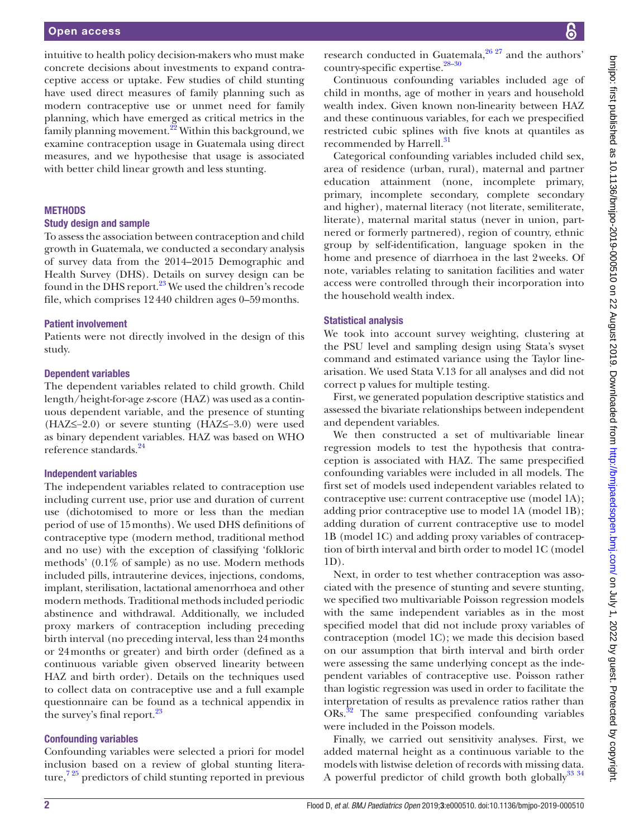#### Open access

intuitive to health policy decision-makers who must make concrete decisions about investments to expand contraceptive access or uptake. Few studies of child stunting have used direct measures of family planning such as modern contraceptive use or unmet need for family planning, which have emerged as critical metrics in the family planning movement.<sup>22</sup> Within this background, we examine contraception usage in Guatemala using direct measures, and we hypothesise that usage is associated with better child linear growth and less stunting.

#### **METHODS**

#### Study design and sample

To assess the association between contraception and child growth in Guatemala, we conducted a secondary analysis of survey data from the 2014–2015 Demographic and Health Survey (DHS). Details on survey design can be found in the DHS report.<sup>23</sup> We used the children's recode file, which comprises 12440 children ages 0–59months.

#### Patient involvement

Patients were not directly involved in the design of this study.

#### Dependent variables

The dependent variables related to child growth. Child length/height-for-age z-score (HAZ) was used as a continuous dependent variable, and the presence of stunting (HAZ≤−2.0) or severe stunting (HAZ≤−3.0) were used as binary dependent variables. HAZ was based on WHO reference standards.<sup>[24](#page-7-5)</sup>

#### Independent variables

The independent variables related to contraception use including current use, prior use and duration of current use (dichotomised to more or less than the median period of use of 15months). We used DHS definitions of contraceptive type (modern method, traditional method and no use) with the exception of classifying 'folkloric methods' (0.1% of sample) as no use. Modern methods included pills, intrauterine devices, injections, condoms, implant, sterilisation, lactational amenorrhoea and other modern methods. Traditional methods included periodic abstinence and withdrawal. Additionally, we included proxy markers of contraception including preceding birth interval (no preceding interval, less than 24months or 24months or greater) and birth order (defined as a continuous variable given observed linearity between HAZ and birth order). Details on the techniques used to collect data on contraceptive use and a full example questionnaire can be found as a technical appendix in the survey's final report.<sup>23</sup>

#### Confounding variables

Confounding variables were selected a priori for model inclusion based on a review of global stunting literature, $7\frac{25}{12}$  predictors of child stunting reported in previous

research conducted in Guatemala,<sup>26</sup><sup>27</sup> and the authors' country-specific expertise.<sup>28-30</sup>

Continuous confounding variables included age of child in months, age of mother in years and household wealth index. Given known non-linearity between HAZ and these continuous variables, for each we prespecified restricted cubic splines with five knots at quantiles as recommended by Harrell.<sup>31</sup>

Categorical confounding variables included child sex, area of residence (urban, rural), maternal and partner education attainment (none, incomplete primary, primary, incomplete secondary, complete secondary and higher), maternal literacy (not literate, semiliterate, literate), maternal marital status (never in union, partnered or formerly partnered), region of country, ethnic group by self-identification, language spoken in the home and presence of diarrhoea in the last 2weeks. Of note, variables relating to sanitation facilities and water access were controlled through their incorporation into the household wealth index.

#### Statistical analysis

We took into account survey weighting, clustering at the PSU level and sampling design using Stata's svyset command and estimated variance using the Taylor linearisation. We used Stata V.13 for all analyses and did not correct p values for multiple testing.

First, we generated population descriptive statistics and assessed the bivariate relationships between independent and dependent variables.

We then constructed a set of multivariable linear regression models to test the hypothesis that contraception is associated with HAZ. The same prespecified confounding variables were included in all models. The first set of models used independent variables related to contraceptive use: current contraceptive use (model 1A); adding prior contraceptive use to model 1A (model 1B); adding duration of current contraceptive use to model 1B (model 1C) and adding proxy variables of contraception of birth interval and birth order to model 1C (model 1D).

Next, in order to test whether contraception was associated with the presence of stunting and severe stunting, we specified two multivariable Poisson regression models with the same independent variables as in the most specified model that did not include proxy variables of contraception (model 1C); we made this decision based on our assumption that birth interval and birth order were assessing the same underlying concept as the independent variables of contraceptive use. Poisson rather than logistic regression was used in order to facilitate the interpretation of results as prevalence ratios rather than ORs.[32](#page-8-1) The same prespecified confounding variables were included in the Poisson models.

Finally, we carried out sensitivity analyses. First, we added maternal height as a continuous variable to the models with listwise deletion of records with missing data. A powerful predictor of child growth both globally<sup>[33 34](#page-8-2)</sup>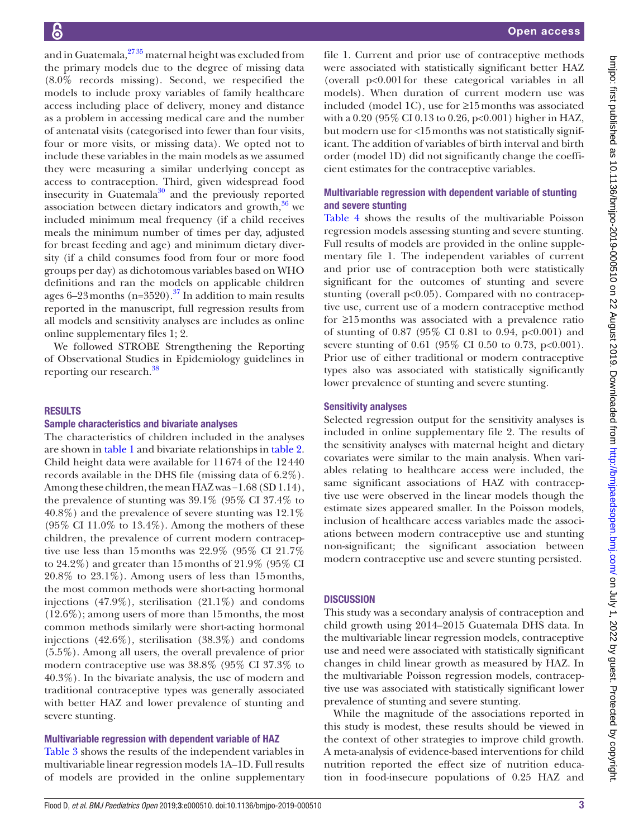and in Guatemala,<sup>2735</sup> maternal height was excluded from the primary models due to the degree of missing data (8.0% records missing). Second, we respecified the models to include proxy variables of family healthcare access including place of delivery, money and distance as a problem in accessing medical care and the number of antenatal visits (categorised into fewer than four visits, four or more visits, or missing data). We opted not to include these variables in the main models as we assumed they were measuring a similar underlying concept as access to contraception. Third, given widespread food insecurity in Guatemala<sup>[30](#page-7-10)</sup> and the previously reported association between dietary indicators and growth, $36$  we included minimum meal frequency (if a child receives meals the minimum number of times per day, adjusted for breast feeding and age) and minimum dietary diversity (if a child consumes food from four or more food groups per day) as dichotomous variables based on WHO definitions and ran the models on applicable children ages 6–23 months (n=3520).<sup>37</sup> In addition to main results reported in the manuscript, full regression results from all models and sensitivity analyses are includes as online [online supplementary files 1; 2.](https://dx.doi.org/10.1136/bmjpo-2019-000510)

We followed STROBE Strengthening the Reporting of Observational Studies in Epidemiology guidelines in reporting our research.<sup>[38](#page-8-5)</sup>

#### **RESULTS**

#### Sample characteristics and bivariate analyses

The characteristics of children included in the analyses are shown in [table](#page-3-0) 1 and bivariate relationships in [table](#page-4-0) 2. Child height data were available for 11674 of the 12440 records available in the DHS file (missing data of 6.2%). Among these children, the mean HAZ was −1.68 (SD 1.14), the prevalence of stunting was 39.1% (95% CI 37.4% to 40.8%) and the prevalence of severe stunting was 12.1%  $(95\% \text{ CI } 11.0\% \text{ to } 13.4\%).$  Among the mothers of these children, the prevalence of current modern contraceptive use less than 15months was 22.9% (95% CI 21.7% to 24.2%) and greater than 15months of 21.9% (95% CI 20.8% to 23.1%). Among users of less than 15months, the most common methods were short-acting hormonal injections (47.9%), sterilisation (21.1%) and condoms (12.6%); among users of more than 15months, the most common methods similarly were short-acting hormonal injections (42.6%), sterilisation (38.3%) and condoms (5.5%). Among all users, the overall prevalence of prior modern contraceptive use was 38.8% (95% CI 37.3% to 40.3%). In the bivariate analysis, the use of modern and traditional contraceptive types was generally associated with better HAZ and lower prevalence of stunting and severe stunting.

#### Multivariable regression with dependent variable of HAZ

[Table](#page-5-0) 3 shows the results of the independent variables in multivariable linear regression models 1A–1D. Full results of models are provided in the [online supplementary](https://dx.doi.org/10.1136/bmjpo-2019-000510) [file 1.](https://dx.doi.org/10.1136/bmjpo-2019-000510) Current and prior use of contraceptive methods were associated with statistically significant better HAZ (overall p<0.001for these categorical variables in all models). When duration of current modern use was included (model 1C), use for ≥15months was associated with a 0.20 (95% CI 0.13 to 0.26, p<0.001) higher in HAZ, but modern use for <15months was not statistically significant. The addition of variables of birth interval and birth order (model 1D) did not significantly change the coefficient estimates for the contraceptive variables.

#### Multivariable regression with dependent variable of stunting and severe stunting

[Table](#page-6-0) 4 shows the results of the multivariable Poisson regression models assessing stunting and severe stunting. Full results of models are provided in the [online supple](https://dx.doi.org/10.1136/bmjpo-2019-000510)[mentary file 1](https://dx.doi.org/10.1136/bmjpo-2019-000510). The independent variables of current and prior use of contraception both were statistically significant for the outcomes of stunting and severe stunting (overall  $p<0.05$ ). Compared with no contraceptive use, current use of a modern contraceptive method for ≥15months was associated with a prevalence ratio of stunting of 0.87 (95% CI 0.81 to 0.94, p<0.001) and severe stunting of 0.61 (95% CI 0.50 to 0.73, p<0.001). Prior use of either traditional or modern contraceptive types also was associated with statistically significantly lower prevalence of stunting and severe stunting.

#### Sensitivity analyses

Selected regression output for the sensitivity analyses is included in [online supplementary file 2](https://dx.doi.org/10.1136/bmjpo-2019-000510). The results of the sensitivity analyses with maternal height and dietary covariates were similar to the main analysis. When variables relating to healthcare access were included, the same significant associations of HAZ with contraceptive use were observed in the linear models though the estimate sizes appeared smaller. In the Poisson models, inclusion of healthcare access variables made the associations between modern contraceptive use and stunting non-significant; the significant association between modern contraceptive use and severe stunting persisted.

### **DISCUSSION**

This study was a secondary analysis of contraception and child growth using 2014–2015 Guatemala DHS data. In the multivariable linear regression models, contraceptive use and need were associated with statistically significant changes in child linear growth as measured by HAZ. In the multivariable Poisson regression models, contraceptive use was associated with statistically significant lower prevalence of stunting and severe stunting.

While the magnitude of the associations reported in this study is modest, these results should be viewed in the context of other strategies to improve child growth. A meta-analysis of evidence-based interventions for child nutrition reported the effect size of nutrition education in food-insecure populations of 0.25 HAZ and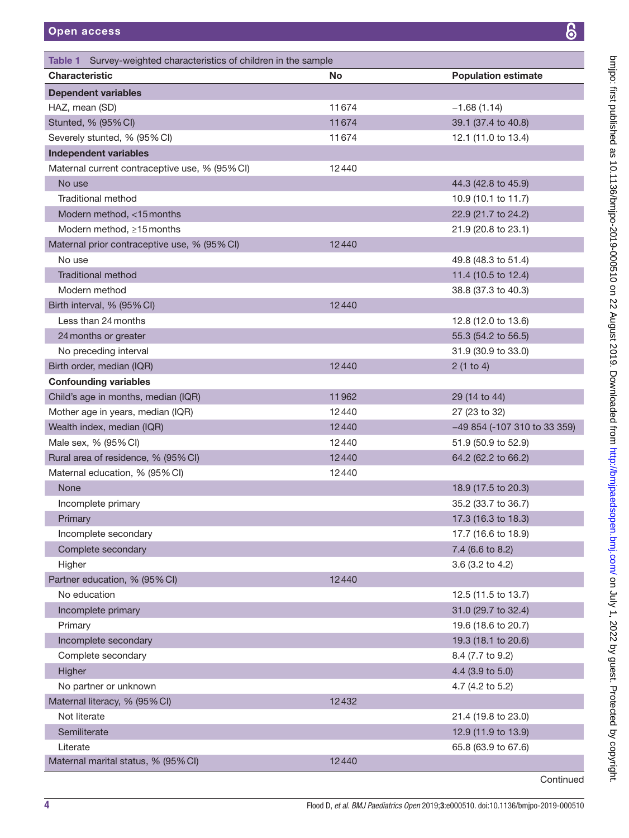<span id="page-3-0"></span>Table 1 Survey-weighted characteristics of children in the sample

bmipo: first published as 10.1136/bmipo-2019-000510 on 22 August 2019. Downloaded from http://bmipaedsopen.bmj.com/ on July 1, 2022 by guest. Protected by copyright. on July 1, 2022 by guest. Protected by copyright. <http://bmjpaedsopen.bmj.com/> bmjpo: first published as 10.1136/bmjpo-2019-000510 on 22 August 2019. Downloaded from

| <b>Characteristic</b>                          | <b>No</b> | <b>Population estimate</b>   |
|------------------------------------------------|-----------|------------------------------|
| <b>Dependent variables</b>                     |           |                              |
| HAZ, mean (SD)                                 | 11674     | $-1.68(1.14)$                |
| Stunted, % (95% CI)                            | 11674     | 39.1 (37.4 to 40.8)          |
| Severely stunted, % (95% CI)                   | 11674     | 12.1 (11.0 to 13.4)          |
| <b>Independent variables</b>                   |           |                              |
| Maternal current contraceptive use, % (95% CI) | 12440     |                              |
| No use                                         |           | 44.3 (42.8 to 45.9)          |
| <b>Traditional method</b>                      |           | 10.9 (10.1 to 11.7)          |
| Modern method, <15 months                      |           | 22.9 (21.7 to 24.2)          |
| Modern method, $\geq 15$ months                |           | 21.9 (20.8 to 23.1)          |
| Maternal prior contraceptive use, % (95% CI)   | 12440     |                              |
| No use                                         |           | 49.8 (48.3 to 51.4)          |
| <b>Traditional method</b>                      |           | 11.4 (10.5 to 12.4)          |
| Modern method                                  |           | 38.8 (37.3 to 40.3)          |
| Birth interval, % (95% CI)                     | 12440     |                              |
| Less than 24 months                            |           | 12.8 (12.0 to 13.6)          |
| 24 months or greater                           |           | 55.3 (54.2 to 56.5)          |
| No preceding interval                          |           | 31.9 (30.9 to 33.0)          |
| Birth order, median (IQR)                      | 12440     | 2(1 to 4)                    |
| <b>Confounding variables</b>                   |           |                              |
| Child's age in months, median (IQR)            | 11962     | 29 (14 to 44)                |
| Mother age in years, median (IQR)              | 12440     | 27 (23 to 32)                |
| Wealth index, median (IQR)                     | 12440     | -49 854 (-107 310 to 33 359) |
| Male sex, % (95% CI)                           | 12440     | 51.9 (50.9 to 52.9)          |
| Rural area of residence, % (95% CI)            | 12440     | 64.2 (62.2 to 66.2)          |
| Maternal education, % (95% CI)                 | 12440     |                              |
| None                                           |           | 18.9 (17.5 to 20.3)          |
| Incomplete primary                             |           | 35.2 (33.7 to 36.7)          |
| Primary                                        |           | 17.3 (16.3 to 18.3)          |
| Incomplete secondary                           |           | 17.7 (16.6 to 18.9)          |
| Complete secondary                             |           | 7.4 (6.6 to 8.2)             |
| Higher                                         |           | 3.6 (3.2 to 4.2)             |
| Partner education, % (95% CI)                  | 12440     |                              |
| No education                                   |           | 12.5 (11.5 to 13.7)          |
| Incomplete primary                             |           | 31.0 (29.7 to 32.4)          |
| Primary                                        |           | 19.6 (18.6 to 20.7)          |
| Incomplete secondary                           |           | 19.3 (18.1 to 20.6)          |
| Complete secondary                             |           | 8.4 (7.7 to 9.2)             |
| Higher                                         |           | 4.4 (3.9 to 5.0)             |
| No partner or unknown                          |           | 4.7 (4.2 to 5.2)             |
| Maternal literacy, % (95% CI)                  | 12432     |                              |
| Not literate                                   |           | 21.4 (19.8 to 23.0)          |
| Semiliterate                                   |           | 12.9 (11.9 to 13.9)          |
| Literate                                       |           | 65.8 (63.9 to 67.6)          |
| Maternal marital status, % (95% CI)            | 12440     |                              |
|                                                |           |                              |

**Continued**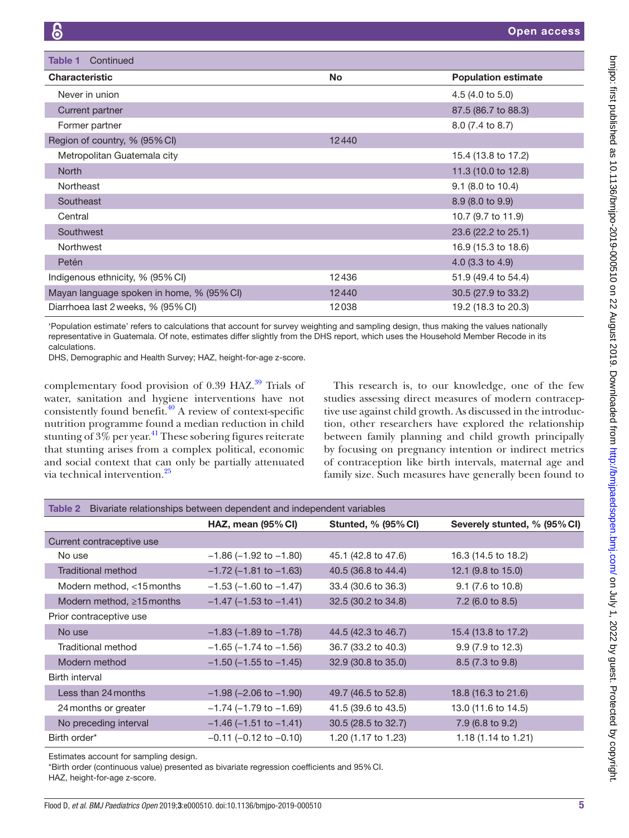| Continued<br>Table 1                      |           |                            |
|-------------------------------------------|-----------|----------------------------|
| <b>Characteristic</b>                     | <b>No</b> | <b>Population estimate</b> |
| Never in union                            |           | 4.5(4.0 to 5.0)            |
| Current partner                           |           | 87.5 (86.7 to 88.3)        |
| Former partner                            |           | 8.0 (7.4 to 8.7)           |
| Region of country, % (95% CI)             | 12440     |                            |
| Metropolitan Guatemala city               |           | 15.4 (13.8 to 17.2)        |
| <b>North</b>                              |           | 11.3 (10.0 to 12.8)        |
| Northeast                                 |           | $9.1$ (8.0 to 10.4)        |
| Southeast                                 |           | 8.9 (8.0 to 9.9)           |
| Central                                   |           | 10.7 (9.7 to 11.9)         |
| Southwest                                 |           | 23.6 (22.2 to 25.1)        |
| Northwest                                 |           | 16.9 (15.3 to 18.6)        |
| Petén                                     |           | $4.0$ (3.3 to 4.9)         |
| Indigenous ethnicity, % (95% CI)          | 12436     | 51.9 (49.4 to 54.4)        |
| Mayan language spoken in home, % (95% CI) | 12440     | 30.5 (27.9 to 33.2)        |
| Diarrhoea last 2 weeks, % (95% CI)        | 12038     | 19.2 (18.3 to 20.3)        |

'Population estimate' refers to calculations that account for survey weighting and sampling design, thus making the values nationally representative in Guatemala. Of note, estimates differ slightly from the DHS report, which uses the Household Member Recode in its calculations.

DHS, Demographic and Health Survey; HAZ, height-for-age z-score.

complementary food provision of  $0.39$  $0.39$  HAZ.<sup>39</sup> Trials of water, sanitation and hygiene interventions have not consistently found benefit. $40$  A review of context-specific nutrition programme found a median reduction in child stunting of  $3\%$  per year.<sup>[41](#page-8-8)</sup> These sobering figures reiterate that stunting arises from a complex political, economic and social context that can only be partially attenuated via technical intervention[.25](#page-7-11)

This research is, to our knowledge, one of the few studies assessing direct measures of modern contraceptive use against child growth. As discussed in the introduction, other researchers have explored the relationship between family planning and child growth principally by focusing on pregnancy intention or indirect metrics of contraception like birth intervals, maternal age and family size. Such measures have generally been found to

<span id="page-4-0"></span>

| Bivariate relationships between dependent and independent variables<br>Table 2 |                                |                            |                              |
|--------------------------------------------------------------------------------|--------------------------------|----------------------------|------------------------------|
|                                                                                | HAZ, mean $(95\%$ CI)          | <b>Stunted, % (95% CI)</b> | Severely stunted, % (95% CI) |
| Current contraceptive use                                                      |                                |                            |                              |
| No use                                                                         | $-1.86$ ( $-1.92$ to $-1.80$ ) | 45.1 (42.8 to 47.6)        | 16.3 (14.5 to 18.2)          |
| Traditional method                                                             | $-1.72$ ( $-1.81$ to $-1.63$ ) | 40.5 (36.8 to 44.4)        | 12.1 (9.8 to 15.0)           |
| Modern method, <15 months                                                      | $-1.53$ ( $-1.60$ to $-1.47$ ) | 33.4 (30.6 to 36.3)        | 9.1 (7.6 to 10.8)            |
| Modern method, $\geq 15$ months                                                | $-1.47$ ( $-1.53$ to $-1.41$ ) | 32.5 (30.2 to 34.8)        | 7.2 (6.0 to 8.5)             |
| Prior contraceptive use                                                        |                                |                            |                              |
| No use                                                                         | $-1.83$ ( $-1.89$ to $-1.78$ ) | 44.5 (42.3 to 46.7)        | 15.4 (13.8 to 17.2)          |
| Traditional method                                                             | $-1.65$ ( $-1.74$ to $-1.56$ ) | 36.7 (33.2 to 40.3)        | 9.9 (7.9 to 12.3)            |
| Modern method                                                                  | $-1.50$ ( $-1.55$ to $-1.45$ ) | 32.9 (30.8 to 35.0)        | 8.5 (7.3 to 9.8)             |
| Birth interval                                                                 |                                |                            |                              |
| Less than 24 months                                                            | $-1.98$ ( $-2.06$ to $-1.90$ ) | 49.7 (46.5 to 52.8)        | 18.8 (16.3 to 21.6)          |
| 24 months or greater                                                           | $-1.74$ ( $-1.79$ to $-1.69$ ) | 41.5 (39.6 to 43.5)        | 13.0 (11.6 to 14.5)          |
| No preceding interval                                                          | $-1.46$ ( $-1.51$ to $-1.41$ ) | 30.5 (28.5 to 32.7)        | 7.9 (6.8 to 9.2)             |
| Birth order*                                                                   | $-0.11$ ( $-0.12$ to $-0.10$ ) | 1.20 (1.17 to 1.23)        | 1.18 (1.14 to 1.21)          |

Estimates account for sampling design.

\*Birth order (continuous value) presented as bivariate regression coefficients and 95%CI.

HAZ, height-for-age z-score.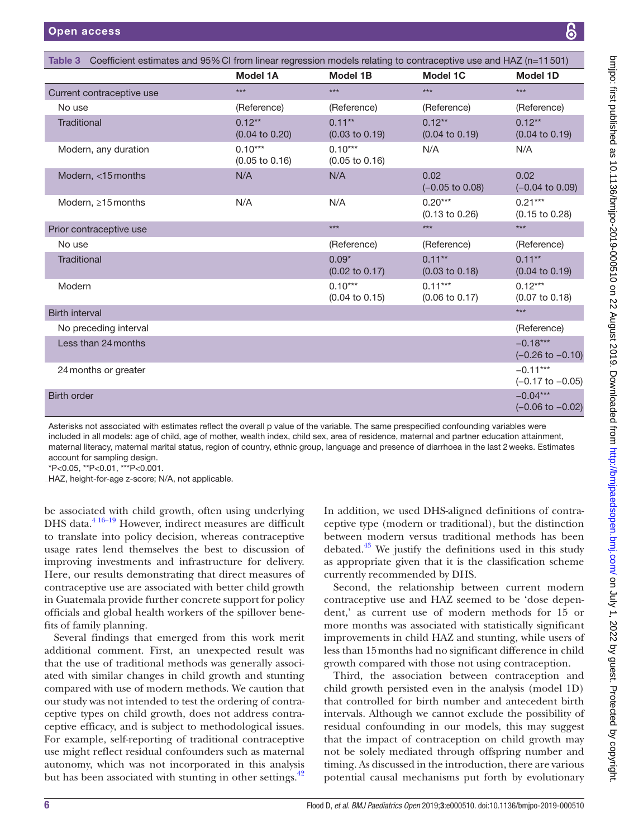<span id="page-5-0"></span>

| Table 3 Coefficient estimates and 95% CI from linear regression models relating to contraceptive use and HAZ (n=11501) |                                        |                                        |                                        |                                           |
|------------------------------------------------------------------------------------------------------------------------|----------------------------------------|----------------------------------------|----------------------------------------|-------------------------------------------|
|                                                                                                                        | <b>Model 1A</b>                        | Model 1B                               | <b>Model 1C</b>                        | <b>Model 1D</b>                           |
| Current contraceptive use                                                                                              | ***                                    | ***                                    | ***                                    | $***$                                     |
| No use                                                                                                                 | (Reference)                            | (Reference)                            | (Reference)                            | (Reference)                               |
| <b>Traditional</b>                                                                                                     | $0.12***$<br>$(0.04 \text{ to } 0.20)$ | $0.11***$<br>$(0.03 \text{ to } 0.19)$ | $0.12***$<br>$(0.04 \text{ to } 0.19)$ | $0.12***$<br>$(0.04 \text{ to } 0.19)$    |
| Modern, any duration                                                                                                   | $0.10***$<br>$(0.05 \text{ to } 0.16)$ | $0.10***$<br>$(0.05 \text{ to } 0.16)$ | N/A                                    | N/A                                       |
| Modern, <15 months                                                                                                     | N/A                                    | N/A                                    | 0.02<br>$(-0.05 \text{ to } 0.08)$     | 0.02<br>$(-0.04 \text{ to } 0.09)$        |
| Modern, $\geq 15$ months                                                                                               | N/A                                    | N/A                                    | $0.20***$<br>$(0.13 \text{ to } 0.26)$ | $0.21***$<br>$(0.15 \text{ to } 0.28)$    |
| Prior contraceptive use                                                                                                |                                        | $***$                                  | $***$                                  | $***$                                     |
| No use                                                                                                                 |                                        | (Reference)                            | (Reference)                            | (Reference)                               |
| <b>Traditional</b>                                                                                                     |                                        | $0.09*$<br>$(0.02 \text{ to } 0.17)$   | $0.11***$<br>$(0.03 \text{ to } 0.18)$ | $0.11***$<br>$(0.04 \text{ to } 0.19)$    |
| Modern                                                                                                                 |                                        | $0.10***$<br>$(0.04 \text{ to } 0.15)$ | $0.11***$<br>$(0.06 \text{ to } 0.17)$ | $0.12***$<br>$(0.07 \text{ to } 0.18)$    |
| <b>Birth interval</b>                                                                                                  |                                        |                                        |                                        | $***$                                     |
| No preceding interval                                                                                                  |                                        |                                        |                                        | (Reference)                               |
| Less than 24 months                                                                                                    |                                        |                                        |                                        | $-0.18***$<br>$(-0.26 \text{ to } -0.10)$ |
| 24 months or greater                                                                                                   |                                        |                                        |                                        | $-0.11***$<br>$(-0.17 \text{ to } -0.05)$ |
| <b>Birth order</b>                                                                                                     |                                        |                                        |                                        | $-0.04***$<br>$(-0.06 \text{ to } -0.02)$ |

Asterisks not associated with estimates reflect the overall p value of the variable. The same prespecified confounding variables were included in all models: age of child, age of mother, wealth index, child sex, area of residence, maternal and partner education attainment, maternal literacy, maternal marital status, region of country, ethnic group, language and presence of diarrhoea in the last 2weeks. Estimates account for sampling design.

\*P<0.05, \*\*P<0.01, \*\*\*P<0.001.

HAZ, height-for-age z-score; N/A, not applicable.

be associated with child growth, often using underlying DHS data.<sup>4 16-19</sup> However, indirect measures are difficult to translate into policy decision, whereas contraceptive usage rates lend themselves the best to discussion of improving investments and infrastructure for delivery. Here, our results demonstrating that direct measures of contraceptive use are associated with better child growth in Guatemala provide further concrete support for policy officials and global health workers of the spillover benefits of family planning.

Several findings that emerged from this work merit additional comment. First, an unexpected result was that the use of traditional methods was generally associated with similar changes in child growth and stunting compared with use of modern methods. We caution that our study was not intended to test the ordering of contraceptive types on child growth, does not address contraceptive efficacy, and is subject to methodological issues. For example, self-reporting of traditional contraceptive use might reflect residual confounders such as maternal autonomy, which was not incorporated in this analysis but has been associated with stunting in other settings.<sup>42</sup>

In addition, we used DHS-aligned definitions of contraceptive type (modern or traditional), but the distinction between modern versus traditional methods has been debated. $43$  We justify the definitions used in this study as appropriate given that it is the classification scheme currently recommended by DHS.

Second, the relationship between current modern contraceptive use and HAZ seemed to be 'dose dependent,' as current use of modern methods for 15 or more months was associated with statistically significant improvements in child HAZ and stunting, while users of less than 15months had no significant difference in child growth compared with those not using contraception.

Third, the association between contraception and child growth persisted even in the analysis (model 1D) that controlled for birth number and antecedent birth intervals. Although we cannot exclude the possibility of residual confounding in our models, this may suggest that the impact of contraception on child growth may not be solely mediated through offspring number and timing. As discussed in the introduction, there are various potential causal mechanisms put forth by evolutionary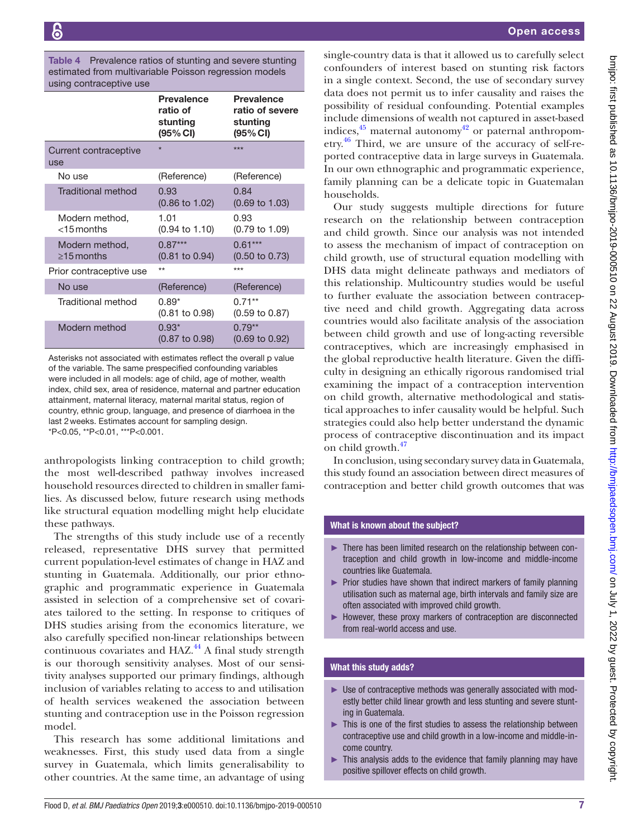<span id="page-6-0"></span>Table 4 Prevalence ratios of stunting and severe stunting estimated from multivariable Poisson regression models using contraceptive use

|                                    | <b>Prevalence</b><br>ratio of<br>stunting<br>(95% CI) | <b>Prevalence</b><br>ratio of severe<br>stunting<br>(95% CI) |
|------------------------------------|-------------------------------------------------------|--------------------------------------------------------------|
| Current contraceptive<br>use       | $\star$                                               | ***                                                          |
| No use                             | (Reference)                                           | (Reference)                                                  |
| Traditional method                 | 0.93<br>$(0.86 \text{ to } 1.02)$                     | 0.84<br>$(0.69 \text{ to } 1.03)$                            |
| Modern method,<br>$<$ 15 months    | 1.01<br>$(0.94 \text{ to } 1.10)$                     | 0.93<br>(0.79 to 1.09)                                       |
| Modern method,<br>$\geq$ 15 months | $0.87***$<br>$(0.81 \text{ to } 0.94)$                | $0.61***$<br>$(0.50 \text{ to } 0.73)$                       |
| Prior contraceptive use            | $**$                                                  | ***                                                          |
| No use                             | (Reference)                                           | (Reference)                                                  |
| Traditional method                 | $0.89*$<br>$(0.81 \text{ to } 0.98)$                  | $0.71***$<br>$(0.59 \text{ to } 0.87)$                       |
| Modern method                      | $0.93*$<br>$(0.87 \text{ to } 0.98)$                  | $0.79**$<br>$(0.69 \text{ to } 0.92)$                        |

Asterisks not associated with estimates reflect the overall p value of the variable. The same prespecified confounding variables were included in all models: age of child, age of mother, wealth index, child sex, area of residence, maternal and partner education attainment, maternal literacy, maternal marital status, region of country, ethnic group, language, and presence of diarrhoea in the last 2weeks. Estimates account for sampling design. \*P<0.05, \*\*P<0.01, \*\*\*P<0.001.

anthropologists linking contraception to child growth; the most well-described pathway involves increased household resources directed to children in smaller families. As discussed below, future research using methods like structural equation modelling might help elucidate these pathways.

The strengths of this study include use of a recently released, representative DHS survey that permitted current population-level estimates of change in HAZ and stunting in Guatemala. Additionally, our prior ethnographic and programmatic experience in Guatemala assisted in selection of a comprehensive set of covariates tailored to the setting. In response to critiques of DHS studies arising from the economics literature, we also carefully specified non-linear relationships between continuous covariates and  $HAZ<sup>44</sup>$  $HAZ<sup>44</sup>$  $HAZ<sup>44</sup>$ . A final study strength is our thorough sensitivity analyses. Most of our sensitivity analyses supported our primary findings, although inclusion of variables relating to access to and utilisation of health services weakened the association between stunting and contraception use in the Poisson regression model.

This research has some additional limitations and weaknesses. First, this study used data from a single survey in Guatemala, which limits generalisability to other countries. At the same time, an advantage of using

single-country data is that it allowed us to carefully select confounders of interest based on stunting risk factors in a single context. Second, the use of secondary survey data does not permit us to infer causality and raises the possibility of residual confounding. Potential examples include dimensions of wealth not captured in asset-based indices,  $45$  maternal autonomy  $42$  or paternal anthropometry.[46](#page-8-13) Third, we are unsure of the accuracy of self-reported contraceptive data in large surveys in Guatemala. In our own ethnographic and programmatic experience, family planning can be a delicate topic in Guatemalan households.

Our study suggests multiple directions for future research on the relationship between contraception and child growth. Since our analysis was not intended to assess the mechanism of impact of contraception on child growth, use of structural equation modelling with DHS data might delineate pathways and mediators of this relationship. Multicountry studies would be useful to further evaluate the association between contraceptive need and child growth. Aggregating data across countries would also facilitate analysis of the association between child growth and use of long-acting reversible contraceptives, which are increasingly emphasised in the global reproductive health literature. Given the difficulty in designing an ethically rigorous randomised trial examining the impact of a contraception intervention on child growth, alternative methodological and statistical approaches to infer causality would be helpful. Such strategies could also help better understand the dynamic process of contraceptive discontinuation and its impact on child growth. $47$ 

In conclusion, using secondary survey data in Guatemala, this study found an association between direct measures of contraception and better child growth outcomes that was

#### What is known about the subject?

- ► There has been limited research on the relationship between contraception and child growth in low-income and middle-income countries like Guatemala.
- ► Prior studies have shown that indirect markers of family planning utilisation such as maternal age, birth intervals and family size are often associated with improved child growth.
- ► However, these proxy markers of contraception are disconnected from real-world access and use.

#### What this study adds?

- ► Use of contraceptive methods was generally associated with modestly better child linear growth and less stunting and severe stunting in Guatemala.
- ► This is one of the first studies to assess the relationship between contraceptive use and child growth in a low-income and middle-income country.
- ► This analysis adds to the evidence that family planning may have positive spillover effects on child growth.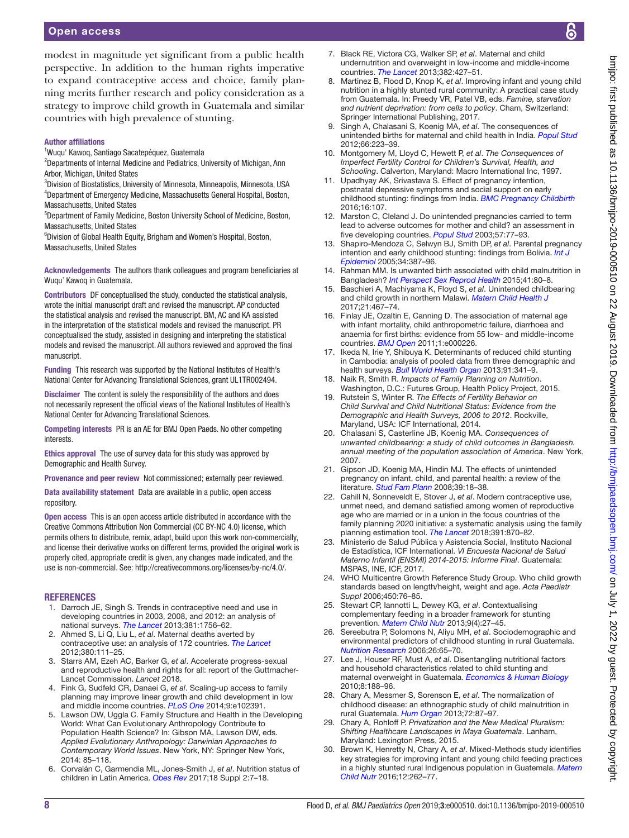modest in magnitude yet significant from a public health perspective. In addition to the human rights imperative to expand contraceptive access and choice, family planning merits further research and policy consideration as a strategy to improve child growth in Guatemala and similar countries with high prevalence of stunting.

#### Author affiliations

- 1 Wuqu' Kawoq, Santiago Sacatepéquez, Guatemala
- <sup>2</sup>Departments of Internal Medicine and Pediatrics, University of Michigan, Ann Arbor, Michigan, United States
- 3 Division of Biostatistics, University of Minnesota, Minneapolis, Minnesota, USA 4 Department of Emergency Medicine, Massachusetts General Hospital, Boston, Massachusetts, United States
- 5 Department of Family Medicine, Boston University School of Medicine, Boston, Massachusetts, United States
- 6 Division of Global Health Equity, Brigham and Women's Hospital, Boston, Massachusetts, United States

Acknowledgements The authors thank colleagues and program beneficiaries at Wuqu' Kawoq in Guatemala.

Contributors DF conceptualised the study, conducted the statistical analysis, wrote the initial manuscript draft and revised the manuscript. AP conducted the statistical analysis and revised the manuscript. BM, AC and KA assisted in the interpretation of the statistical models and revised the manuscript. PR conceptualised the study, assisted in designing and interpreting the statistical models and revised the manuscript. All authors reviewed and approved the final manuscript

Funding This research was supported by the National Institutes of Health's National Center for Advancing Translational Sciences, grant UL1TR002494.

Disclaimer The content is solely the responsibility of the authors and does not necessarily represent the official views of the National Institutes of Health's National Center for Advancing Translational Sciences.

Competing interests PR is an AE for BMJ Open Paeds. No other competing interests.

Ethics approval The use of survey data for this study was approved by Demographic and Health Survey.

Provenance and peer review Not commissioned; externally peer reviewed.

Data availability statement Data are available in a public, open access repository.

Open access This is an open access article distributed in accordance with the Creative Commons Attribution Non Commercial (CC BY-NC 4.0) license, which permits others to distribute, remix, adapt, build upon this work non-commercially, and license their derivative works on different terms, provided the original work is properly cited, appropriate credit is given, any changes made indicated, and the use is non-commercial. See:<http://creativecommons.org/licenses/by-nc/4.0/>.

#### **REFERENCES**

- 1. Darroch JE, Singh S. Trends in contraceptive need and use in developing countries in 2003, 2008, and 2012: an analysis of national surveys. *[The Lancet](http://dx.doi.org/10.1016/S0140-6736(13)60597-8)* 2013;381:1756–62.
- 2. Ahmed S, Li Q, Liu L, *et al*. Maternal deaths averted by contraceptive use: an analysis of 172 countries. *[The Lancet](http://dx.doi.org/10.1016/S0140-6736(12)60478-4)* 2012;380:111–25.
- 3. Starrs AM, Ezeh AC, Barker G, *et al*. Accelerate progress-sexual and reproductive health and rights for all: report of the Guttmacher-Lancet Commission. *Lancet* 2018.
- <span id="page-7-1"></span>4. Fink G, Sudfeld CR, Danaei G, *et al*. Scaling-up access to family planning may improve linear growth and child development in low and middle income countries. *[PLoS One](http://dx.doi.org/10.1371/journal.pone.0102391)* 2014;9:e102391.
- 5. Lawson DW, Uggla C. Family Structure and Health in the Developing World: What Can Evolutionary Anthropology Contribute to Population Health Science? In: Gibson MA, Lawson DW, eds. *Applied Evolutionary Anthropology: Darwinian Approaches to Contemporary World Issues*. New York, NY: Springer New York, 2014: 85–118.
- 6. Corvalán C, Garmendia ML, Jones-Smith J, *et al*. Nutrition status of children in Latin America. *[Obes Rev](http://dx.doi.org/10.1111/obr.12571)* 2017;18 Suppl 2:7–18.
- <span id="page-7-6"></span>7. Black RE, Victora CG, Walker SP, *et al*. Maternal and child undernutrition and overweight in low-income and middle-income countries. *[The Lancet](http://dx.doi.org/10.1016/S0140-6736(13)60937-X)* 2013;382:427–51.
- 8. Martinez B, Flood D, Knop K, *et al*. Improving infant and young child nutrition in a highly stunted rural community: A practical case study from Guatemala. In: Preedy VR, Patel VB, eds. *Famine, starvation and nutrient deprivation: from cells to policy*. Cham, Switzerland: Springer International Publishing, 2017.
- <span id="page-7-0"></span>9. Singh A, Chalasani S, Koenig MA, *et al*. The consequences of unintended births for maternal and child health in India. *[Popul Stud](http://dx.doi.org/10.1080/00324728.2012.697568)* 2012;66:223–39.
- 10. Montgomery M, Lloyd C, Hewett P, *et al*. *The Consequences of Imperfect Fertility Control for Children's Survival, Health, and Schooling*. Calverton, Maryland: Macro International Inc, 1997.
- 11. Upadhyay AK, Srivastava S. Effect of pregnancy intention, postnatal depressive symptoms and social support on early childhood stunting: findings from India. *[BMC Pregnancy Childbirth](http://dx.doi.org/10.1186/s12884-016-0909-9)* 2016;16:107.
- 12. Marston C, Cleland J. Do unintended pregnancies carried to term lead to adverse outcomes for mother and child? an assessment in five developing countries. *[Popul Stud](http://dx.doi.org/10.1080/0032472032000061749)* 2003;57:77–93.
- 13. Shapiro-Mendoza C, Selwyn BJ, Smith DP, *et al*. Parental pregnancy intention and early childhood stunting: findings from Bolivia. *[Int J](http://dx.doi.org/10.1093/ije/dyh354)  [Epidemiol](http://dx.doi.org/10.1093/ije/dyh354)* 2005;34:387–96.
- 14. Rahman MM. Is unwanted birth associated with child malnutrition in Bangladesh? *[Int Perspect Sex Reprod Health](http://dx.doi.org/10.1363/4108015)* 2015;41:80–8.
- 15. Baschieri A, Machiyama K, Floyd S, *et al*. Unintended childbearing and child growth in northern Malawi. *[Matern Child Health J](http://dx.doi.org/10.1007/s10995-016-2124-8)* 2017;21:467–74.
- 16. Finlay JE, Ozaltin E, Canning D. The association of maternal age with infant mortality, child anthropometric failure, diarrhoea and anaemia for first births: evidence from 55 low- and middle-income countries. *[BMJ Open](http://dx.doi.org/10.1136/bmjopen-2011-000226)* 2011;1:e000226.
- 17. Ikeda N, Irie Y, Shibuya K. Determinants of reduced child stunting in Cambodia: analysis of pooled data from three demographic and health surveys. *[Bull World Health Organ](http://dx.doi.org/10.2471/BLT.12.113381)* 2013;91:341–9.
- 18. Naik R, Smith R. *Impacts of Family Planning on Nutrition*. Washington, D.C.: Futures Group, Health Policy Project, 2015.
- 19. Rutstein S, Winter R. *The Effects of Fertility Behavior on Child Survival and Child Nutritional Status: Evidence from the Demographic and Health Surveys, 2006 to 2012*. Rockville, Maryland, USA: ICF International, 2014.
- <span id="page-7-2"></span>20. Chalasani S, Casterline JB, Koenig MA. *Consequences of unwanted childbearing: a study of child outcomes in Bangladesh. annual meeting of the population association of America*. New York, 2007.
- 21. Gipson JD, Koenig MA, Hindin MJ. The effects of unintended pregnancy on infant, child, and parental health: a review of the literature. *[Stud Fam Plann](http://dx.doi.org/10.1111/j.1728-4465.2008.00148.x)* 2008;39:18–38.
- <span id="page-7-3"></span>22. Cahill N, Sonneveldt E, Stover J, *et al*. Modern contraceptive use, unmet need, and demand satisfied among women of reproductive age who are married or in a union in the focus countries of the family planning 2020 initiative: a systematic analysis using the family planning estimation tool. *[The Lancet](http://dx.doi.org/10.1016/S0140-6736(17)33104-5)* 2018;391:870–82.
- <span id="page-7-4"></span>23. Ministerio de Salud Pública y Asistencia Social, Instituto Nacional de Estadística, ICF International. *VI Encuesta Nacional de Salud Materno Infantil (ENSMI) 2014-2015: Informe Final*. Guatemala: MSPAS, INE, ICF, 2017.
- <span id="page-7-5"></span>24. WHO Multicentre Growth Reference Study Group. Who child growth standards based on length/height, weight and age. *Acta Paediatr Suppl* 2006;450:76–85.
- <span id="page-7-11"></span>25. Stewart CP, Iannotti L, Dewey KG, *et al*. Contextualising complementary feeding in a broader framework for stunting prevention. *[Matern Child Nutr](http://dx.doi.org/10.1111/mcn.12088)* 2013;9(4):27–45.
- <span id="page-7-7"></span>26. Sereebutra P, Solomons N, Aliyu MH, *et al*. Sociodemographic and environmental predictors of childhood stunting in rural Guatemala. *[Nutrition Research](http://dx.doi.org/10.1016/j.nutres.2006.02.002)* 2006;26:65–70.
- <span id="page-7-9"></span>27. Lee J, Houser RF, Must A, *et al*. Disentangling nutritional factors and household characteristics related to child stunting and maternal overweight in Guatemala. *[Economics & Human Biology](http://dx.doi.org/10.1016/j.ehb.2010.05.014)* 2010;8:188–96.
- <span id="page-7-8"></span>28. Chary A, Messmer S, Sorenson E, *et al*. The normalization of childhood disease: an ethnographic study of child malnutrition in rural Guatemala. *[Hum Organ](http://dx.doi.org/10.17730/humo.72.2.f2014210742702r2)* 2013;72:87–97.
- 29. Chary A, Rohloff P. *Privatization and the New Medical Pluralism: Shifting Healthcare Landscapes in Maya Guatemala*. Lanham, Maryland: Lexington Press, 2015.
- <span id="page-7-10"></span>30. Brown K, Henretty N, Chary A, *et al*. Mixed-Methods study identifies key strategies for improving infant and young child feeding practices in a highly stunted rural Indigenous population in Guatemala. *[Matern](http://dx.doi.org/10.1111/mcn.12141)  [Child Nutr](http://dx.doi.org/10.1111/mcn.12141)* 2016;12:262–77.